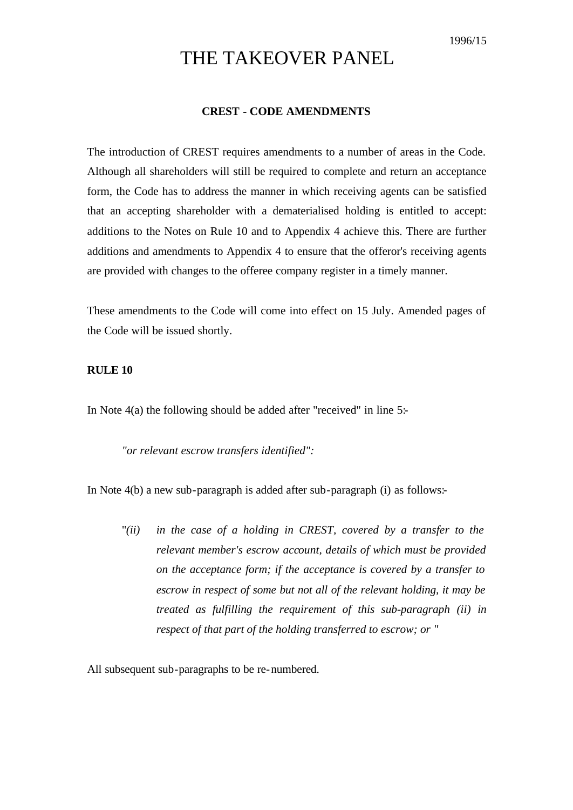# THE TAKEOVER PANEL

#### **CREST - CODE AMENDMENTS**

The introduction of CREST requires amendments to a number of areas in the Code. Although all shareholders will still be required to complete and return an acceptance form, the Code has to address the manner in which receiving agents can be satisfied that an accepting shareholder with a dematerialised holding is entitled to accept: additions to the Notes on Rule 10 and to Appendix 4 achieve this. There are further additions and amendments to Appendix 4 to ensure that the offeror's receiving agents are provided with changes to the offeree company register in a timely manner.

These amendments to the Code will come into effect on 15 July. Amended pages of the Code will be issued shortly.

### **RULE 10**

In Note 4(a) the following should be added after "received" in line 5:-

*"or relevant escrow transfers identified":*

In Note 4(b) a new sub-paragraph is added after sub-paragraph (i) as follows:-

"*(ii) in the case of a holding in CREST, covered by a transfer to the relevant member's escrow account, details of which must be provided on the acceptance form; if the acceptance is covered by a transfer to escrow in respect of some but not all of the relevant holding, it may be treated as fulfilling the requirement of this sub-paragraph (ii) in respect of that part of the holding transferred to escrow; or "*

All subsequent sub-paragraphs to be re-numbered.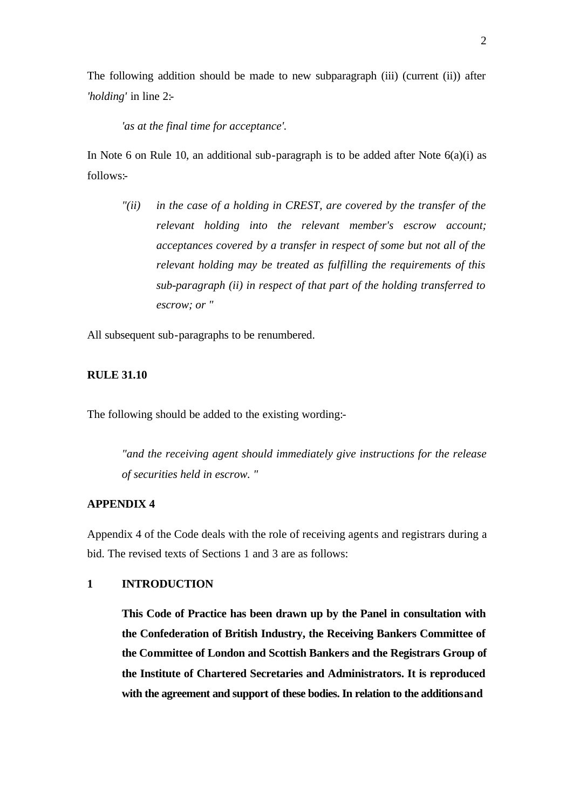The following addition should be made to new subparagraph (iii) (current (ii)) after *'holding'* in line 2:-

*'as at the final time for acceptance'.*

In Note 6 on Rule 10, an additional sub-paragraph is to be added after Note  $6(a)(i)$  as follows:-

*"(ii) in the case of a holding in CREST, are covered by the transfer of the relevant holding into the relevant member's escrow account; acceptances covered by a transfer in respect of some but not all of the relevant holding may be treated as fulfilling the requirements of this sub-paragraph (ii) in respect of that part of the holding transferred to escrow; or "*

All subsequent sub-paragraphs to be renumbered.

#### **RULE 31.10**

The following should be added to the existing wording:-

*"and the receiving agent should immediately give instructions for the release of securities held in escrow. "*

# **APPENDIX 4**

Appendix 4 of the Code deals with the role of receiving agents and registrars during a bid. The revised texts of Sections 1 and 3 are as follows:

# **1 INTRODUCTION**

**This Code of Practice has been drawn up by the Panel in consultation with the Confederation of British Industry, the Receiving Bankers Committee of the Committee of London and Scottish Bankers and the Registrars Group of the Institute of Chartered Secretaries and Administrators. It is reproduced with the agreement and support of these bodies. In relation to the additions and**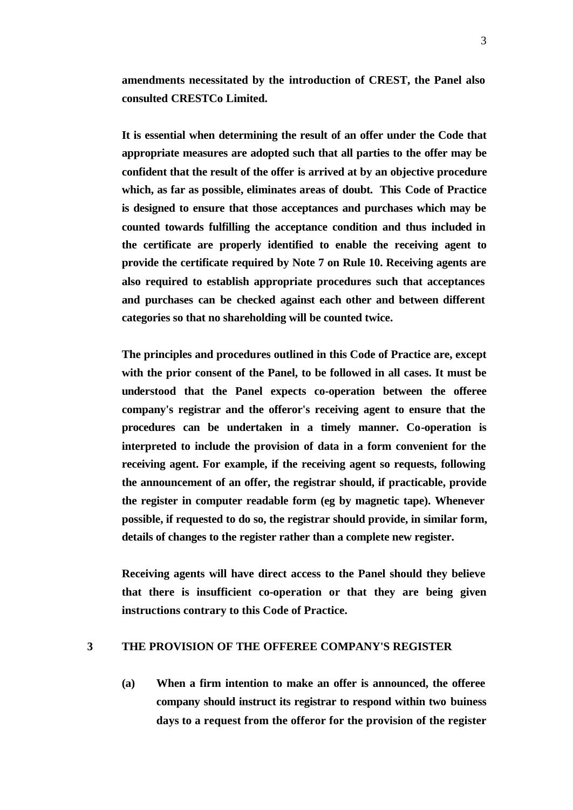**amendments necessitated by the introduction of CREST, the Panel also consulted CRESTCo Limited.**

**It is essential when determining the result of an offer under the Code that appropriate measures are adopted such that all parties to the offer may be confident that the result of the offer is arrived at by an objective procedure which, as far as possible, eliminates areas of doubt. This Code of Practice is designed to ensure that those acceptances and purchases which may be counted towards fulfilling the acceptance condition and thus included in the certificate are properly identified to enable the receiving agent to provide the certificate required by Note 7 on Rule 10. Receiving agents are also required to establish appropriate procedures such that acceptances and purchases can be checked against each other and between different categories so that no shareholding will be counted twice.**

**The principles and procedures outlined in this Code of Practice are, except with the prior consent of the Panel, to be followed in all cases. It must be understood that the Panel expects co-operation between the offeree company's registrar and the offeror's receiving agent to ensure that the procedures can be undertaken in a timely manner. Co-operation is interpreted to include the provision of data in a form convenient for the receiving agent. For example, if the receiving agent so requests, following the announcement of an offer, the registrar should, if practicable, provide the register in computer readable form (eg by magnetic tape). Whenever possible, if requested to do so, the registrar should provide, in similar form, details of changes to the register rather than a complete new register.**

**Receiving agents will have direct access to the Panel should they believe that there is insufficient co-operation or that they are being given instructions contrary to this Code of Practice.**

# **3 THE PROVISION OF THE OFFEREE COMPANY'S REGISTER**

**(a) When a firm intention to make an offer is announced, the offeree company should instruct its registrar to respond within two buiness days to a request from the offeror for the provision of the register**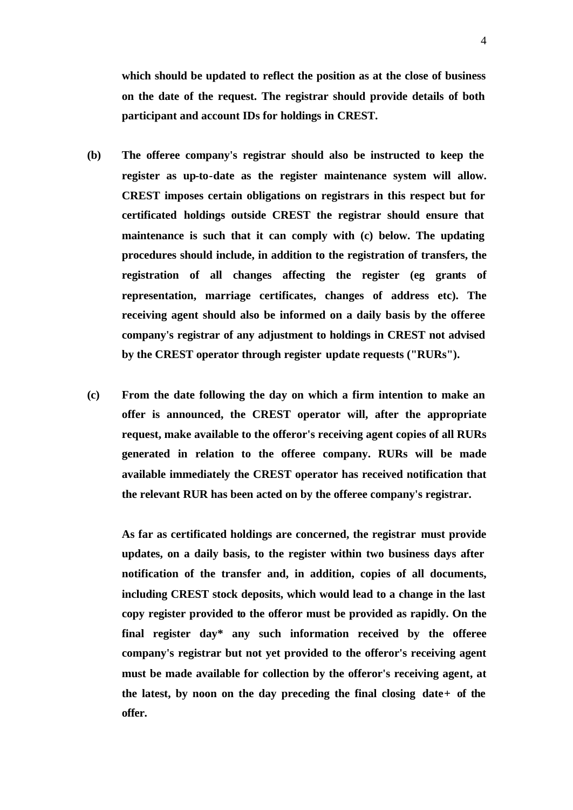**which should be updated to reflect the position as at the close of business on the date of the request. The registrar should provide details of both participant and account IDs for holdings in CREST.**

- **(b) The offeree company's registrar should also be instructed to keep the register as up-to-date as the register maintenance system will allow. CREST imposes certain obligations on registrars in this respect but for certificated holdings outside CREST the registrar should ensure that maintenance is such that it can comply with (c) below. The updating procedures should include, in addition to the registration of transfers, the registration of all changes affecting the register (eg grants of representation, marriage certificates, changes of address etc). The receiving agent should also be informed on a daily basis by the offeree company's registrar of any adjustment to holdings in CREST not advised by the CREST operator through register update requests ("RURs").**
- **(c) From the date following the day on which a firm intention to make an offer is announced, the CREST operator will, after the appropriate request, make available to the offeror's receiving agent copies of all RURs generated in relation to the offeree company. RURs will be made available immediately the CREST operator has received notification that the relevant RUR has been acted on by the offeree company's registrar.**

**As far as certificated holdings are concerned, the registrar must provide updates, on a daily basis, to the register within two business days after notification of the transfer and, in addition, copies of all documents, including CREST stock deposits, which would lead to a change in the last copy register provided to the offeror must be provided as rapidly. On the final register day\* any such information received by the offeree company's registrar but not yet provided to the offeror's receiving agent must be made available for collection by the offeror's receiving agent, at the latest, by noon on the day preceding the final closing date+ of the offer.**